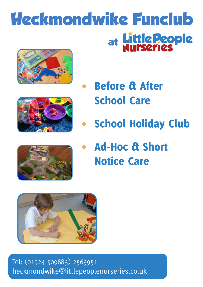# **Heckmondwike Funclub** at Little People







School Holiday Club



Ad-Hoc & Short Notice Care



Tel: (01924 509883) 2563951 heckmondwike@littlepeoplenurseries.co.uk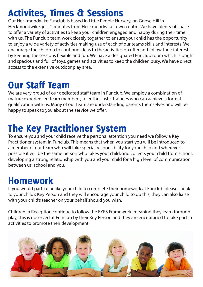# Activites, Times & Sessions

Our Heckmondwike Funclub is based in Little People Nursery, on Goose Hill in Heckmondwike, just 2 minutes from Heckmondwike town centre. We have plenty of space to offer a variety of activities to keep your children engaged and happy during their time with us. The Funclub team work closely together to ensure your child has the opportunity to enjoy a wide variety of activities making use of each of our teams skills and interests. We encourage the children to continue ideas to the activities on offer and follow their interests by keeping the sessions flexible and fun. We have a designated Funclub room which is bright and spacious and full of toys, games and activities to keep the children busy. We have direct access to the extensive outdoor play area.

### Our Staff Team

We are very proud of our dedicated staff team in Funclub. We employ a combination of mature experienced team members, to enthusiastic trainees who can achieve a formal qualification with us. Many of our team are understanding parents themselves and will be happy to speak to you about the service we offer.

### The Key Practitioner System

To ensure you and your child receive the personal attention you need we follow a Key Practitioner system in Funclub. This means that when you start you will be introduced to a member of our team who will take special responsibility for your child and wherever possible it will be the same person who takes your child, and collects your child from school, developing a strong relationship with you and your child for a high level of communication between us, school and you.

### Homework

If you would particular like your child to complete their homework at Funclub please speak to your child's Key Person and they will encourage your child to do this, they can also liaise with your child's teacher on your behalf should you wish.

Children in Reception continue to follow the EYFS Framework, meaning they learn through play, this is observed at Funclub by their Key Person and they are encouraged to take part in activities to promote their development.

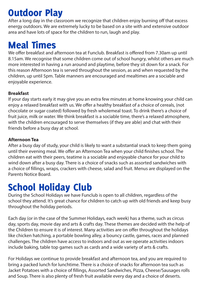# Outdoor Play

After a long day in the classroom we recognize that children enjoy burning off that excess energy outdoors. We are extremely lucky to be based on a site with and extensive outdoor area and have lots of space for the children to run, laugh and play.

### Meal Times

We offer breakfast and afternoon tea at Funclub. Breakfast is offered from 7.30am up until 8.15am. We recognise that some children come out of school hungry, whilst others are much more interested in having a run around and playtime, before they sit down for a snack. For this reason Afternoon tea is served throughout the session, as and when requested by the children, up until 5pm. Table manners are encouraged and mealtimes are a sociable and enjoyable experience.

#### **Breakfast**

If your day starts early it may give you an extra few minutes at home knowing your child can enjoy a relaxed breakfast with us. We offer a healthy breakfast of a choice of cereals, (not chocolate or sugar coated) followed by fresh wholemeal toast. To drink there's a choice of fruit juice, milk or water. We think breakfast is a sociable time, there's a relaxed atmosphere, with the children encouraged to serve themselves (if they are able) and chat with their friends before a busy day at school.

#### **Afternoon Tea**

After a busy day of study, your child is likely to want a substantial snack to keep them going until their evening meal. We offer an Afternoon Tea when your child finishes school. The children eat with their peers, teatime is a sociable and enjoyable chance for your child to wind down after a busy day. There is a choice of snacks such as assorted sandwiches with a choice of fillings, wraps, crackers with cheese, salad and fruit. Menus are displayed on the Parents Notice Board.

### School Holiday Club

During the School Holidays we have Funclub is open to all children, regardless of the school they attend. It's great chance for children to catch up with old friends and keep busy throughout the holiday periods.

Each day (or in the case of the Summer Holidays, each week) has a theme, such as circus day, sports day, movie day and arts & crafts day. These themes are decided with the help of the Children to ensure it is of interest. Many activities are on offer throughout the holidays like chicken hatching, a portable bowling alley, a bouncy castle, games, races and planned challenges. The children have access to indoors and out as we operate activities indoors include baking, table top games such as cards and a wide variety of arts & crafts.

For Holidays we continue to provide breakfast and afternoon tea, and you are required to bring a packed lunch for lunchtime. There is a choice of snacks for afternoon tea such as Jacket Potatoes with a choice of fillings, Assorted Sandwiches, Pizza, Cheese/Sausages rolls and Soup. There is also plenty of fresh fruit available every day and a choice of deserts.